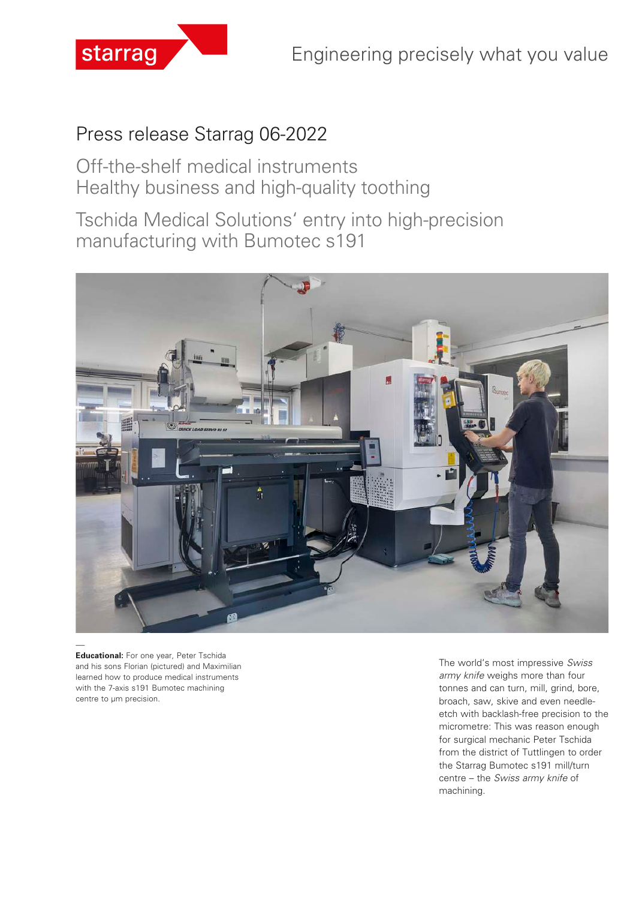

# Press release Starrag 06-2022

Off-the-shelf medical instruments Healthy business and high-quality toothing

Tschida Medical Solutions' entry into high-precision manufacturing with Bumotec s191



**Educational:** For one year, Peter Tschida and his sons Florian (pictured) and Maximilian learned how to produce medical instruments with the 7-axis s191 Bumotec machining centre to µm precision.

The world's most impressive *Swiss army knife* weighs more than four tonnes and can turn, mill, grind, bore, broach, saw, skive and even needleetch with backlash-free precision to the micrometre: This was reason enough for surgical mechanic Peter Tschida from the district of Tuttlingen to order the Starrag Bumotec s191 mill/turn centre – the *Swiss army knife* of machining.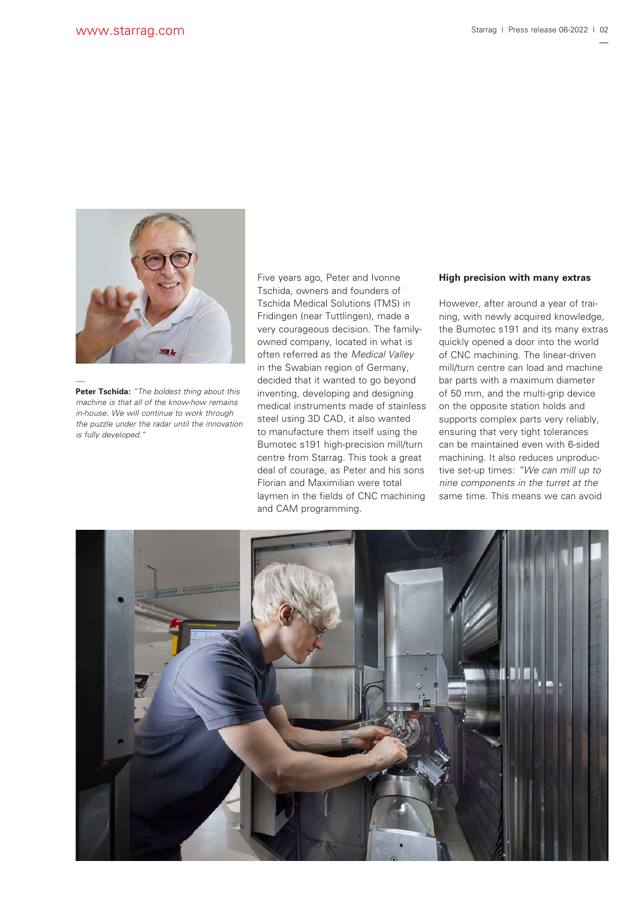

**Peter Tschida:** *"The boldest thing about this machine is that all of the know-how remains in-house. We will continue to work through the puzzle under the radar until the innovation is fully developed."*

Five years ago, Peter and Ivonne Tschida, owners and founders of Tschida Medical Solutions (TMS) in Fridingen (near Tuttlingen), made a very courageous decision. The familyowned company, located in what is often referred as the *Medical Valley*  in the Swabian region of Germany, decided that it wanted to go beyond inventing, developing and designing medical instruments made of stainless steel using 3D CAD, it also wanted to manufacture them itself using the Bumotec s191 high-precision mill/turn centre from Starrag. This took a great deal of courage, as Peter and his sons Florian and Maximilian were total laymen in the fields of CNC machining and CAM programming.

### **High precision with many extras**

However, after around a year of training, with newly acquired knowledge, the Bumotec s191 and its many extras quickly opened a door into the world of CNC machining. The linear-driven mill/turn centre can load and machine bar parts with a maximum diameter of 50 mm, and the multi-grip device on the opposite station holds and supports complex parts very reliably, ensuring that very tight tolerances can be maintained even with 6-sided machining. It also reduces unproductive set-up times: *"We can mill up to nine components in the turret at the*  same time. This means we can avoid

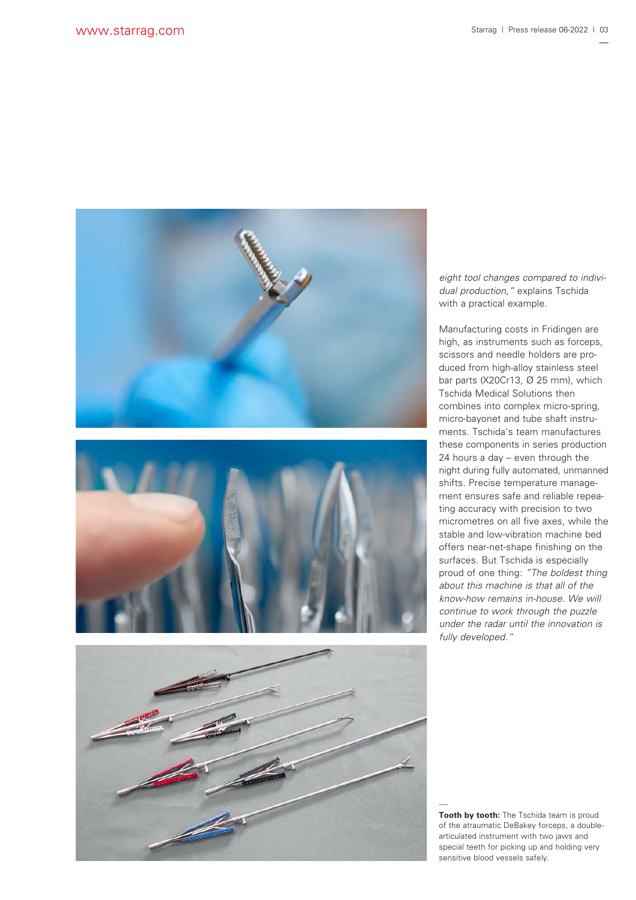





*eight tool changes compared to individual production,"* explains Tschida with a practical example.

Manufacturing costs in Fridingen are high, as instruments such as forceps, scissors and needle holders are produced from high-alloy stainless steel bar parts (X20Cr13, Ø 25 mm), which Tschida Medical Solutions then combines into complex micro-spring, micro-bayonet and tube shaft instruments. Tschida's team manufactures these components in series production 24 hours a day – even through the night during fully automated, unmanned shifts. Precise temperature management ensures safe and reliable repeating accuracy with precision to two micrometres on all five axes, while the stable and low-vibration machine bed offers near-net-shape finishing on the surfaces. But Tschida is especially proud of one thing: *"The boldest thing about this machine is that all of the know-how remains in-house. We will continue to work through the puzzle under the radar until the innovation is fully developed."*

**Tooth by tooth:** The Tschida team is proud of the atraumatic DeBakey forceps, a doublearticulated instrument with two jaws and special teeth for picking up and holding very sensitive blood vessels safely.